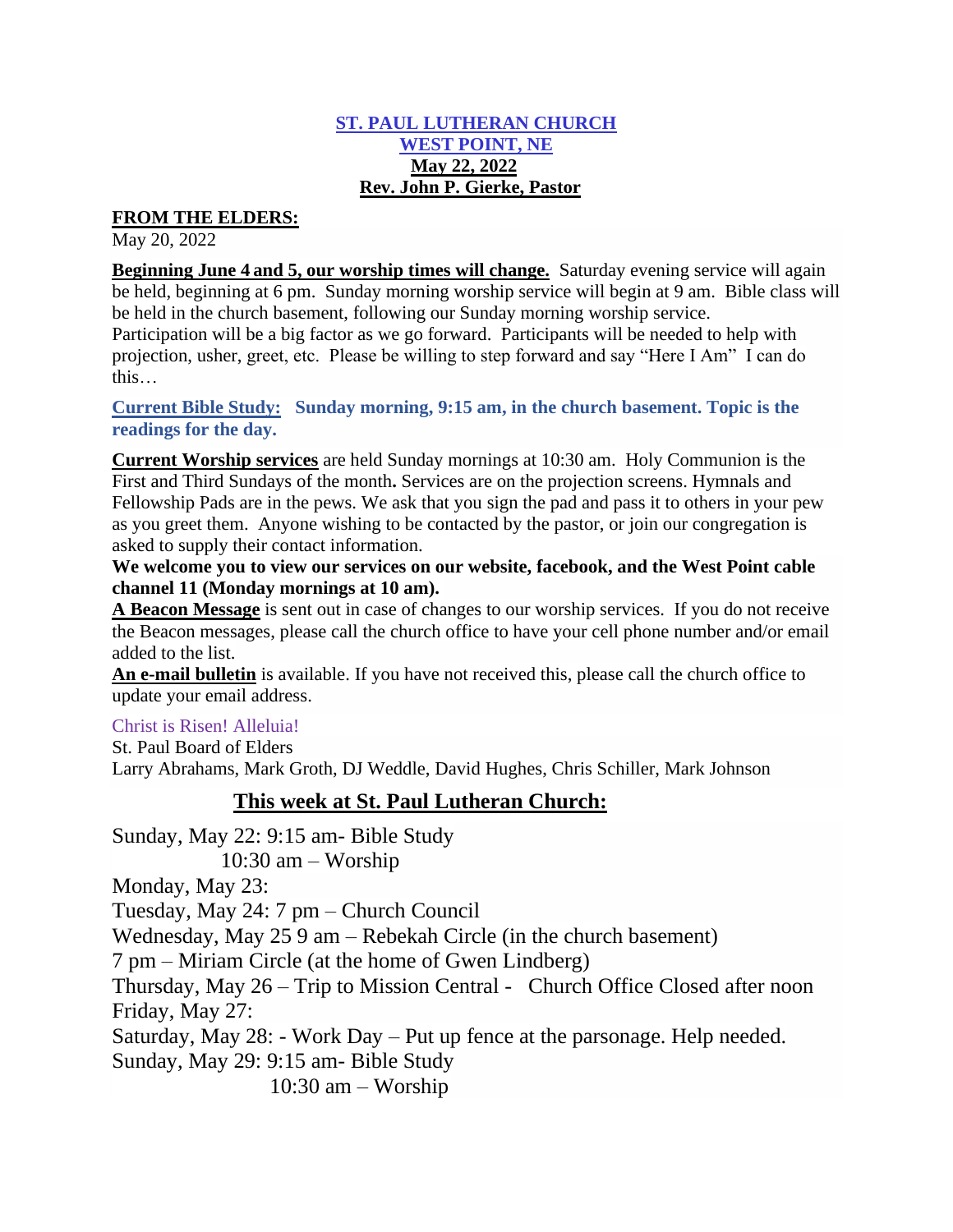#### **ST. PAUL LUTHERAN CHURCH WEST POINT, NE May 22, 2022 Rev. John P. Gierke, Pastor**

## **FROM THE ELDERS:**

May 20, 2022

**Beginning June 4 and 5, our worship times will change.** Saturday evening service will again be held, beginning at 6 pm. Sunday morning worship service will begin at 9 am. Bible class will be held in the church basement, following our Sunday morning worship service.

Participation will be a big factor as we go forward. Participants will be needed to help with projection, usher, greet, etc. Please be willing to step forward and say "Here I Am" I can do this…

**Current Bible Study: Sunday morning, 9:15 am, in the church basement. Topic is the readings for the day.** 

**Current Worship services** are held Sunday mornings at 10:30 am. Holy Communion is the First and Third Sundays of the month**.** Services are on the projection screens. Hymnals and Fellowship Pads are in the pews. We ask that you sign the pad and pass it to others in your pew as you greet them. Anyone wishing to be contacted by the pastor, or join our congregation is asked to supply their contact information.

**We welcome you to view our services on our website, facebook, and the West Point cable channel 11 (Monday mornings at 10 am).**

**A Beacon Message** is sent out in case of changes to our worship services. If you do not receive the Beacon messages, please call the church office to have your cell phone number and/or email added to the list.

**An e-mail bulletin** is available. If you have not received this, please call the church office to update your email address.

## Christ is Risen! Alleluia!

St. Paul Board of Elders Larry Abrahams, Mark Groth, DJ Weddle, David Hughes, Chris Schiller, Mark Johnson

## **This week at St. Paul Lutheran Church:**

Sunday, May 22: 9:15 am- Bible Study 10:30 am – Worship Monday, May 23: Tuesday, May 24: 7 pm – Church Council Wednesday, May 25 9 am – Rebekah Circle (in the church basement) 7 pm – Miriam Circle (at the home of Gwen Lindberg) Thursday, May 26 – Trip to Mission Central - Church Office Closed after noon Friday, May 27: Saturday, May 28: - Work Day – Put up fence at the parsonage. Help needed. Sunday, May 29: 9:15 am- Bible Study 10:30 am – Worship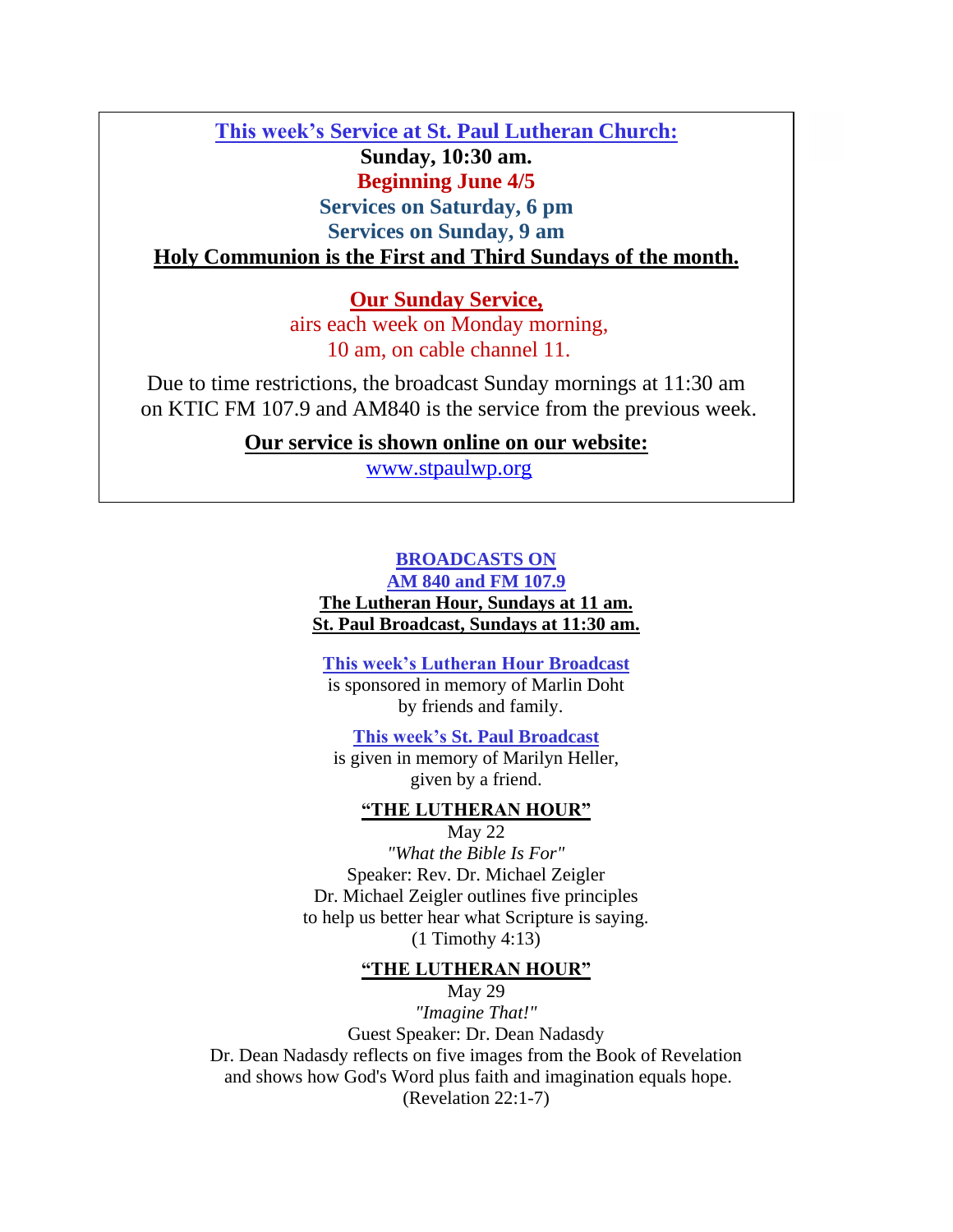**This week's Service at St. Paul Lutheran Church: Sunday, 10:30 am. Beginning June 4/5 Services on Saturday, 6 pm Services on Sunday, 9 am Holy Communion is the First and Third Sundays of the month.** 

> **Our Sunday Service,**  airs each week on Monday morning, 10 am, on cable channel 11.

Due to time restrictions, the broadcast Sunday mornings at 11:30 am on KTIC FM 107.9 and AM840 is the service from the previous week.

**Our service is shown online on our website:**

[www.stpaulwp.org](http://www.stpaulwp.org/)

# **BROADCASTS ON**

**AM 840 and FM 107.9**

**The Lutheran Hour, Sundays at 11 am. St. Paul Broadcast, Sundays at 11:30 am.**

**This week's Lutheran Hour Broadcast**

is sponsored in memory of Marlin Doht by friends and family.

**This week's St. Paul Broadcast**

is given in memory of Marilyn Heller, given by a friend.

#### **"THE LUTHERAN HOUR"**

May 22 *"What the Bible Is For"* Speaker: Rev. Dr. Michael Zeigler Dr. Michael Zeigler outlines five principles to help us better hear what Scripture is saying. (1 Timothy 4:13)

#### **"THE LUTHERAN HOUR"**

May 29 *"Imagine That!"* Guest Speaker: Dr. Dean Nadasdy Dr. Dean Nadasdy reflects on five images from the Book of Revelation and shows how God's Word plus faith and imagination equals hope. (Revelation 22:1-7)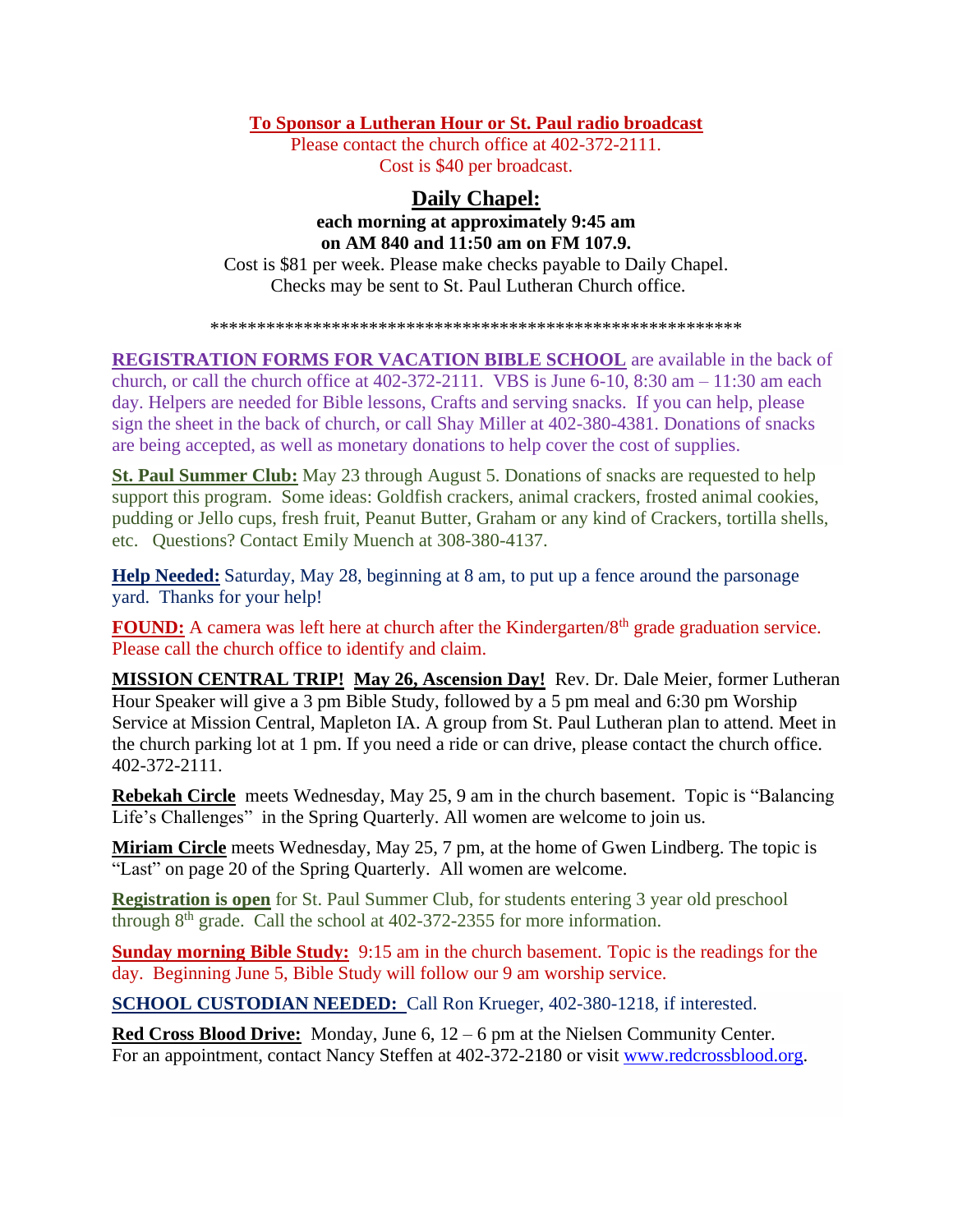#### **To Sponsor a Lutheran Hour or St. Paul radio broadcast**

Please contact the church office at 402-372-2111. Cost is \$40 per broadcast.

## **Daily Chapel: each morning at approximately 9:45 am on AM 840 and 11:50 am on FM 107.9.**  Cost is \$81 per week. Please make checks payable to Daily Chapel. Checks may be sent to St. Paul Lutheran Church office.

\*\*\*\*\*\*\*\*\*\*\*\*\*\*\*\*\*\*\*\*\*\*\*\*\*\*\*\*\*\*\*\*\*\*\*\*\*\*\*\*\*\*\*\*\*\*\*\*\*\*\*\*\*\*\*\*\*

**REGISTRATION FORMS FOR VACATION BIBLE SCHOOL** are available in the back of church, or call the church office at  $402-372-2111$ . VBS is June 6-10, 8:30 am – 11:30 am each day. Helpers are needed for Bible lessons, Crafts and serving snacks. If you can help, please sign the sheet in the back of church, or call Shay Miller at 402-380-4381. Donations of snacks are being accepted, as well as monetary donations to help cover the cost of supplies.

**St. Paul Summer Club:** May 23 through August 5. Donations of snacks are requested to help support this program. Some ideas: Goldfish crackers, animal crackers, frosted animal cookies, pudding or Jello cups, fresh fruit, Peanut Butter, Graham or any kind of Crackers, tortilla shells, etc. Questions? Contact Emily Muench at 308-380-4137.

**Help Needed:** Saturday, May 28, beginning at 8 am, to put up a fence around the parsonage yard. Thanks for your help!

**FOUND:** A camera was left here at church after the Kindergarten/8<sup>th</sup> grade graduation service. Please call the church office to identify and claim.

**MISSION CENTRAL TRIP! May 26, Ascension Day!** Rev. Dr. Dale Meier, former Lutheran Hour Speaker will give a 3 pm Bible Study, followed by a 5 pm meal and 6:30 pm Worship Service at Mission Central, Mapleton IA. A group from St. Paul Lutheran plan to attend. Meet in the church parking lot at 1 pm. If you need a ride or can drive, please contact the church office. 402-372-2111.

**Rebekah Circle** meets Wednesday, May 25, 9 am in the church basement. Topic is "Balancing Life's Challenges" in the Spring Quarterly. All women are welcome to join us.

**Miriam Circle** meets Wednesday, May 25, 7 pm, at the home of Gwen Lindberg. The topic is "Last" on page 20 of the Spring Quarterly. All women are welcome.

**Registration is open** for St. Paul Summer Club, for students entering 3 year old preschool through  $8<sup>th</sup>$  grade. Call the school at 402-372-2355 for more information.

**Sunday morning Bible Study:** 9:15 am in the church basement. Topic is the readings for the day. Beginning June 5, Bible Study will follow our 9 am worship service.

**SCHOOL CUSTODIAN NEEDED:** Call Ron Krueger, 402-380-1218, if interested.

**Red Cross Blood Drive:** Monday, June 6, 12 – 6 pm at the Nielsen Community Center. For an appointment, contact Nancy Steffen at 402-372-2180 or visit [www.redcrossblood.org.](http://www.redcrossblood.org/)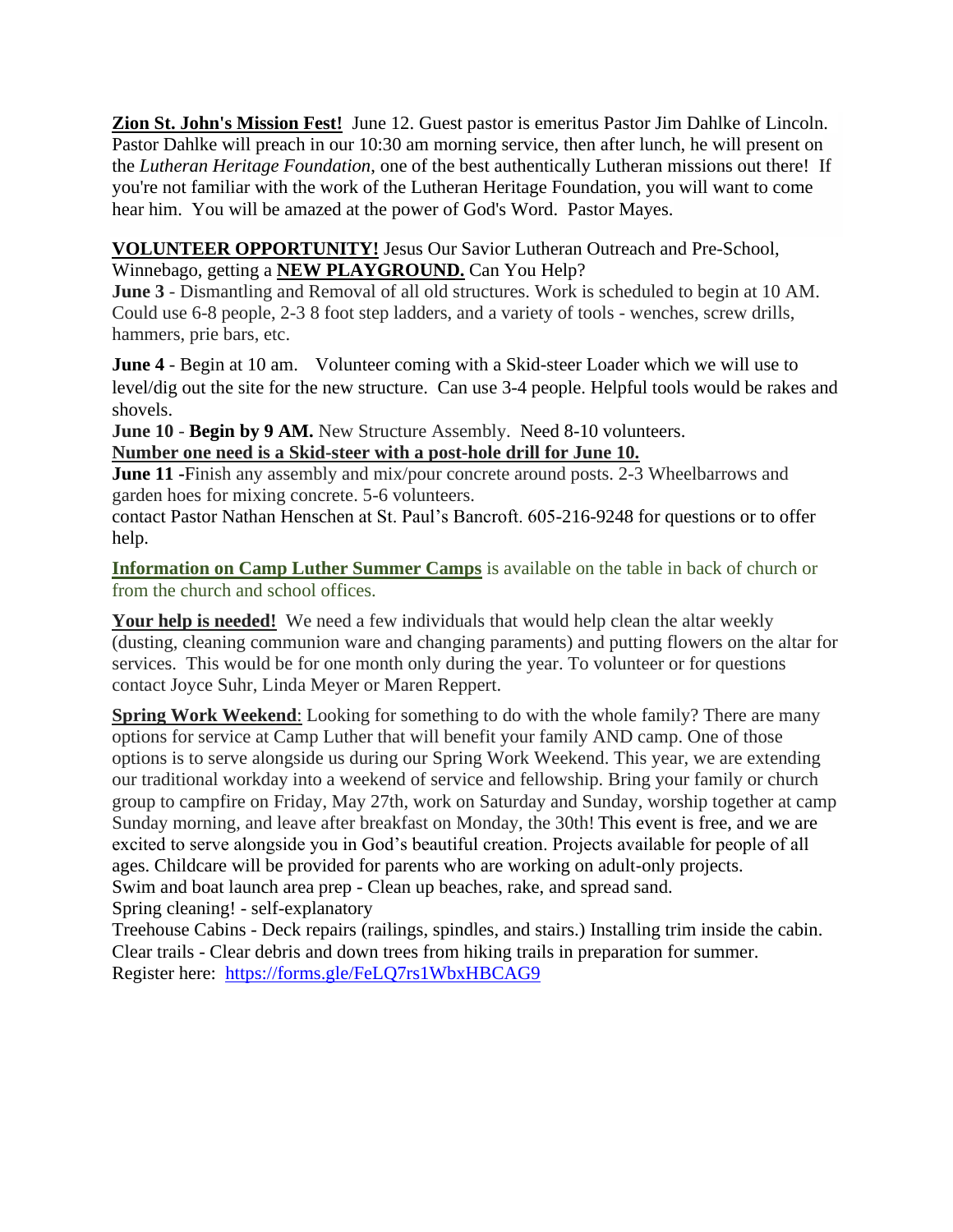**Zion St. John's Mission Fest!** June 12. Guest pastor is emeritus Pastor Jim Dahlke of Lincoln. Pastor Dahlke will preach in our 10:30 am morning service, then after lunch, he will present on the *Lutheran Heritage Foundation*, one of the best authentically Lutheran missions out there! If you're not familiar with the work of the Lutheran Heritage Foundation, you will want to come hear him. You will be amazed at the power of God's Word. Pastor Mayes.

## **VOLUNTEER OPPORTUNITY!** Jesus Our Savior Lutheran Outreach and Pre-School, Winnebago, getting a **NEW PLAYGROUND.** Can You Help?

**June 3** - Dismantling and Removal of all old structures. Work is scheduled to begin at 10 AM. Could use 6-8 people, 2-3 8 foot step ladders, and a variety of tools - wenches, screw drills, hammers, prie bars, etc.

**June 4** - Begin at 10 am. Volunteer coming with a Skid-steer Loader which we will use to level/dig out the site for the new structure. Can use 3-4 people. Helpful tools would be rakes and shovels.

**June 10 - Begin by 9 AM.** New Structure Assembly. Need 8-10 volunteers. **Number one need is a Skid-steer with a post-hole drill for June 10.** 

**June 11 -**Finish any assembly and mix/pour concrete around posts. 2-3 Wheelbarrows and garden hoes for mixing concrete. 5-6 volunteers.

contact Pastor Nathan Henschen at St. Paul's Bancroft. 605-216-9248 for questions or to offer help.

**Information on Camp Luther Summer Camps** is available on the table in back of church or from the church and school offices.

**Your help is needed!** We need a few individuals that would help clean the altar weekly (dusting, cleaning communion ware and changing paraments) and putting flowers on the altar for services. This would be for one month only during the year. To volunteer or for questions contact Joyce Suhr, Linda Meyer or Maren Reppert.

**Spring Work Weekend:** Looking for something to do with the whole family? There are many options for service at Camp Luther that will benefit your family AND camp. One of those options is to serve alongside us during our Spring Work Weekend. This year, we are extending our traditional workday into a weekend of service and fellowship. Bring your family or church group to campfire on Friday, May 27th, work on Saturday and Sunday, worship together at camp Sunday morning, and leave after breakfast on Monday, the 30th! This event is free, and we are excited to serve alongside you in God's beautiful creation. Projects available for people of all ages. Childcare will be provided for parents who are working on adult-only projects. Swim and boat launch area prep - Clean up beaches, rake, and spread sand. Spring cleaning! - self-explanatory

Treehouse Cabins - Deck repairs (railings, spindles, and stairs.) Installing trim inside the cabin. Clear trails - Clear debris and down trees from hiking trails in preparation for summer. Register here: <https://forms.gle/FeLQ7rs1WbxHBCAG9>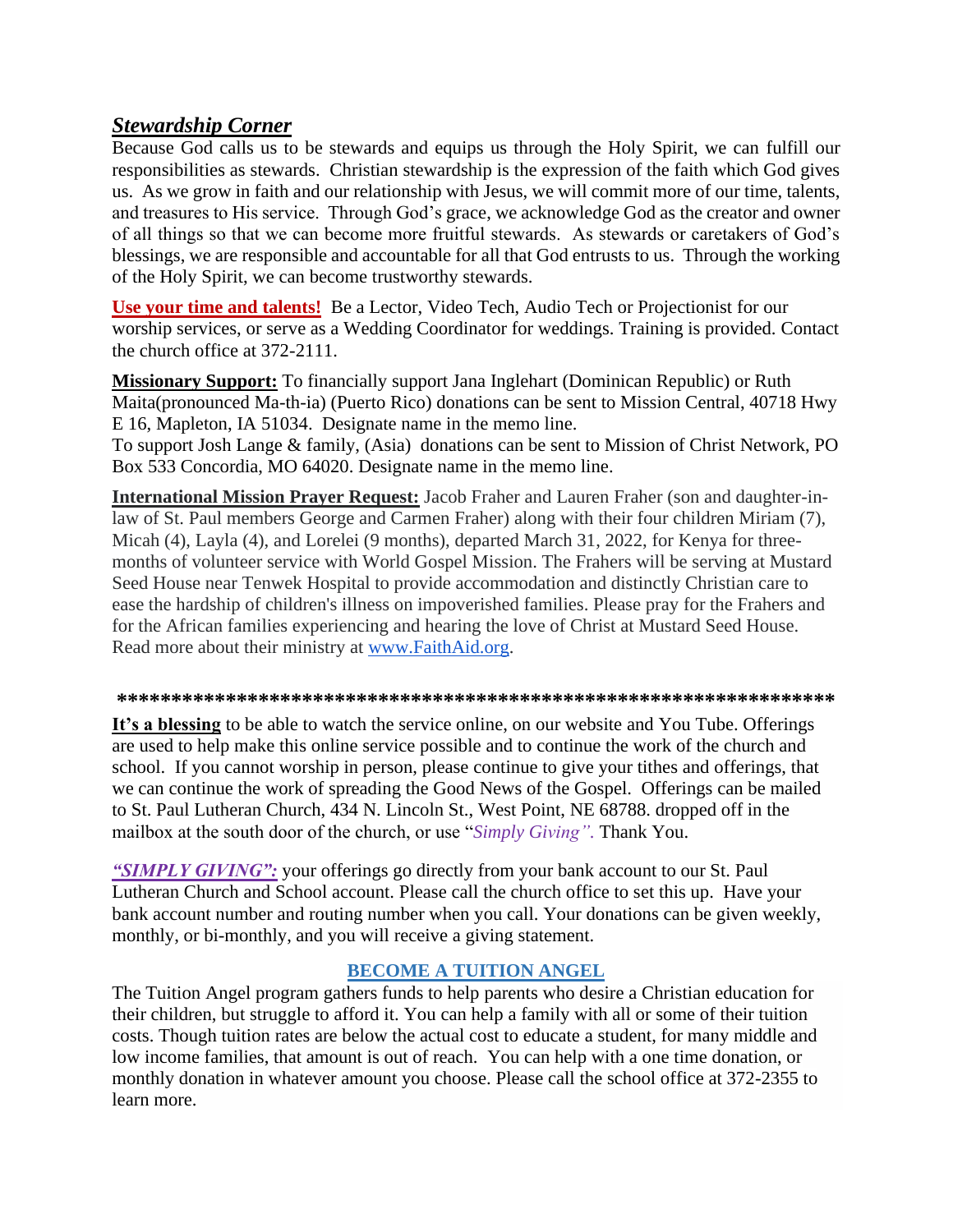# *Stewardship Corner*

Because God calls us to be stewards and equips us through the Holy Spirit, we can fulfill our responsibilities as stewards. Christian stewardship is the expression of the faith which God gives us. As we grow in faith and our relationship with Jesus, we will commit more of our time, talents, and treasures to His service. Through God's grace, we acknowledge God as the creator and owner of all things so that we can become more fruitful stewards. As stewards or caretakers of God's blessings, we are responsible and accountable for all that God entrusts to us. Through the working of the Holy Spirit, we can become trustworthy stewards.

**Use your time and talents!** Be a Lector, Video Tech, Audio Tech or Projectionist for our worship services, or serve as a Wedding Coordinator for weddings. Training is provided. Contact the church office at 372-2111.

**Missionary Support:** To financially support Jana Inglehart (Dominican Republic) or Ruth Maita(pronounced Ma-th-ia) (Puerto Rico) donations can be sent to Mission Central, 40718 Hwy E 16, Mapleton, IA 51034. Designate name in the memo line.

To support Josh Lange & family, (Asia) donations can be sent to Mission of Christ Network, PO Box 533 Concordia, MO 64020. Designate name in the memo line.

**International Mission Prayer Request:** Jacob Fraher and Lauren Fraher (son and daughter-inlaw of St. Paul members George and Carmen Fraher) along with their four children Miriam (7), Micah (4), Layla (4), and Lorelei (9 months), departed March 31, 2022, for Kenya for threemonths of volunteer service with World Gospel Mission. The Frahers will be serving at Mustard Seed House near Tenwek Hospital to provide accommodation and distinctly Christian care to ease the hardship of children's illness on impoverished families. Please pray for the Frahers and for the African families experiencing and hearing the love of Christ at Mustard Seed House. Read more about their ministry at [www.FaithAid.org.](http://www.faithaid.org/)

#### **\*\*\*\*\*\*\*\*\*\*\*\*\*\*\*\*\*\*\*\*\*\*\*\*\*\*\*\*\*\*\*\*\*\*\*\*\*\*\*\*\*\*\*\*\*\*\*\*\*\*\*\*\*\*\*\*\*\*\*\*\*\*\*\*\*\***

**It's a blessing** to be able to watch the service online, on our website and You Tube. Offerings are used to help make this online service possible and to continue the work of the church and school. If you cannot worship in person, please continue to give your tithes and offerings, that we can continue the work of spreading the Good News of the Gospel. Offerings can be mailed to St. Paul Lutheran Church, 434 N. Lincoln St., West Point, NE 68788. dropped off in the mailbox at the south door of the church, or use "*Simply Giving".* Thank You.

*"SIMPLY GIVING":* your offerings go directly from your bank account to our St. Paul Lutheran Church and School account. Please call the church office to set this up. Have your bank account number and routing number when you call. Your donations can be given weekly, monthly, or bi-monthly, and you will receive a giving statement.

## **BECOME A TUITION ANGEL**

The Tuition Angel program gathers funds to help parents who desire a Christian education for their children, but struggle to afford it. You can help a family with all or some of their tuition costs. Though tuition rates are below the actual cost to educate a student, for many middle and low income families, that amount is out of reach. You can help with a one time donation, or monthly donation in whatever amount you choose. Please call the school office at 372-2355 to learn more.